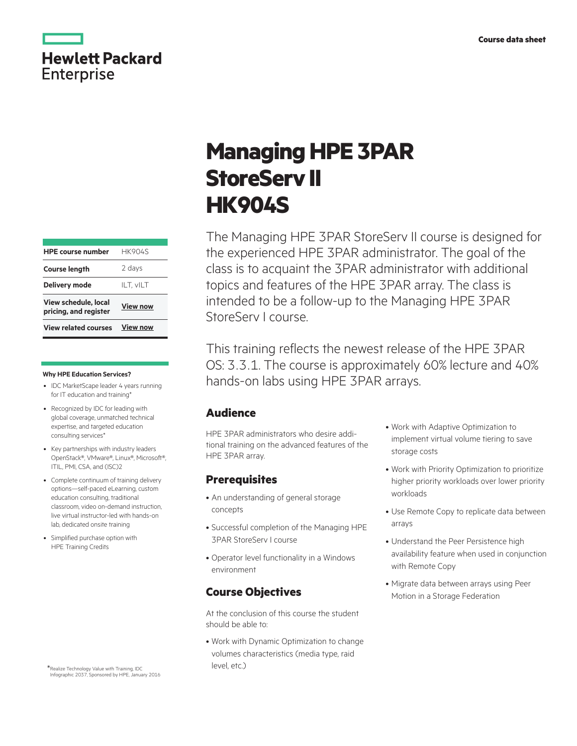

| <b>View related courses</b>                   | <b>View now</b> |  |
|-----------------------------------------------|-----------------|--|
| View schedule, local<br>pricing, and register | <b>View now</b> |  |
| <b>Delivery mode</b>                          | ILT, vILT       |  |
| <b>Course length</b>                          | 2 days          |  |
| <b>HPE course number</b>                      | <b>HK904S</b>   |  |
|                                               |                 |  |

#### **Why HPE Education Services?**

- IDC MarketScape leader 4 years running for IT education and training\*
- Recognized by IDC for leading with global coverage, unmatched technical expertise, and targeted education consulting services\*
- Key partnerships with industry leaders OpenStack®, VMware®, Linux®, Microsoft®, ITIL, PMI, CSA, and (ISC)2
- Complete continuum of training delivery options—self-paced eLearning, custom education consulting, traditional classroom, video on-demand instruction, live virtual instructor-led with hands-on lab, dedicated onsite training
- Simplified purchase option with HPE Training Credits

Realize Technology Value with Training, IDC Infographic 2037, Sponsored by HPE, January 2016 \*

# **Managing HPE 3PAR StoreServ II HK904S**

The Managing HPE 3PAR StoreServ II course is designed for the experienced HPE 3PAR administrator. The goal of the class is to acquaint the 3PAR administrator with additional topics and features of the HPE 3PAR array. The class is intended to be a follow-up to the Managing HPE 3PAR StoreServ I course.

This training reflects the newest release of the HPE 3PAR OS: 3.3.1. The course is approximately 60% lecture and 40% hands-on labs using HPE 3PAR arrays.

#### **Audience**

HPE 3PAR administrators who desire additional training on the advanced features of the HPE 3PAR array.

## **Prerequisites**

- An understanding of general storage concepts
- Successful completion of the Managing HPE 3PAR StoreServ I course
- Operator level functionality in a Windows environment

## **Course Objectives**

At the conclusion of this course the student should be able to:

• Work with Dynamic Optimization to change volumes characteristics (media type, raid level, etc.)

- Work with Adaptive Optimization to implement virtual volume tiering to save storage costs
- Work with Priority Optimization to prioritize higher priority workloads over lower priority workloads
- Use Remote Copy to replicate data between arrays
- Understand the Peer Persistence high availability feature when used in conjunction with Remote Copy
- Migrate data between arrays using Peer Motion in a Storage Federation